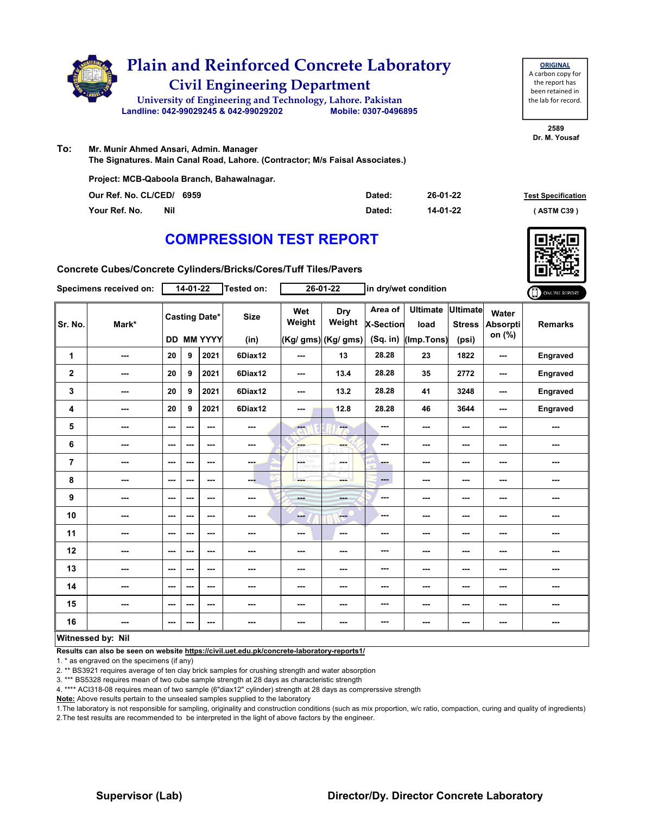

| <b>ORIGINAL</b>     |
|---------------------|
| A carbon copy for   |
| the report has      |
| been retained in    |
| the lab for record. |
|                     |

**2589 Dr. M. Yousaf**

#### **To: Mr. Munir Ahmed Ansari, Admin. Manager The Signatures. Main Canal Road, Lahore. (Contractor; M/s Faisal Associates.) Project: MCB-Qaboola Branch, Bahawalnagar.**

| Our Ref. No. CL/CED/ 6959 | Dated: | 26-01-22 | <b>Test Specification</b> |
|---------------------------|--------|----------|---------------------------|
| Nil<br>Your Ref. No.      | Dated: | 14-01-22 | (ASTM C39)                |

# **COMPRESSION TEST REPORT**



**Concrete Cubes/Concrete Cylinders/Bricks/Cores/Tuff Tiles/Pavers**

|                | Specimens received on: |                      | 14-01-22 |                   | Tested on:  |                          | 26-01-22            |                      | in dry/wet condition      |                          |                          | ONLINE REPORT  |
|----------------|------------------------|----------------------|----------|-------------------|-------------|--------------------------|---------------------|----------------------|---------------------------|--------------------------|--------------------------|----------------|
| Sr. No.        | Mark*                  | <b>Casting Date*</b> |          |                   | <b>Size</b> | Wet<br>Weight            | Dry<br>Weight       | Area of<br>X-Section | Ultimate Ultimate<br>load | <b>Stress</b>            | Water<br><b>Absorpti</b> | <b>Remarks</b> |
|                |                        |                      |          | <b>DD MM YYYY</b> | (in)        |                          | (Kg/ gms) (Kg/ gms) | (Sq. in)             | (Imp.Tons)                | (psi)                    | on (%)                   |                |
| 1              | ---                    | 20                   | 9        | 2021              | 6Diax12     | $\sim$                   | 13                  | 28.28                | 23                        | 1822                     | ---                      | Engraved       |
| $\mathbf 2$    | ---                    | 20                   | 9        | 2021              | 6Diax12     | $\sim$ $\sim$            | 13.4                | 28.28                | 35                        | 2772                     | ---                      | Engraved       |
| 3              | ---                    | 20                   | 9        | 2021              | 6Diax12     | $\overline{\phantom{a}}$ | 13.2                | 28.28                | 41                        | 3248                     | ---                      | Engraved       |
| 4              | ---                    | 20                   | 9        | 2021              | 6Diax12     | ---                      | 12.8                | 28.28                | 46                        | 3644                     | ---                      | Engraved       |
| 5              | ---                    | ---                  | ---      | ---               | ---         | ---                      | ÷                   | ---                  | ---                       | $--$                     | ---                      | ---            |
| 6              | ---                    | $--$                 | $--$     | $--$              | ---         | ---                      | ---                 | ---                  | ---                       | $\overline{\phantom{a}}$ | ---                      | ---            |
| $\overline{7}$ | ---                    | $--$                 | ---      | ---               | ---         | L.<br>w                  | in men              | ---                  | ---                       | ---                      | ---                      |                |
| 8              | ---                    | $- - -$              | ---      | $- - -$           | ---         | ---                      | ---                 | ---                  | ---                       | ---                      | ---                      | ---            |
| 9              | ---                    | ---                  | ---      | ---               | ---         | mana.                    | ---                 | ---                  | ---                       | ---                      | ---                      | ---            |
| 10             | ---                    | ---                  | ---      | ---               | ---         | -                        | <b>Fee</b>          | ---                  | ---                       | ---                      | ---                      | ---            |
| 11             | ---                    | $--$                 | ---      | ---               | ---         | $\overline{\phantom{a}}$ | ---                 | ---                  | ---                       | ---                      | ---                      | ---            |
| 12             | ---                    | ---                  | ---      | ---               | ---         | ---                      | ---                 | ---                  | ---                       | ---                      | ---                      |                |
| 13             | ---                    | $--$                 | $--$     | $--$              | ---         | $\overline{\phantom{a}}$ | ---                 | ---                  | ---                       | $\sim$                   | ---                      | ---            |
| 14             | ---                    | ---                  | ---      | $--$              |             | ---                      | ---                 | ---                  | ---                       | ---                      | ---                      |                |
| 15             | ---                    | ---                  | ---      | ---               |             | ---                      | ---                 | ---                  | ---                       | ---                      | ---                      | ---            |
| 16             | ---                    | ---                  | ---      | $--$              | ---         | ---                      | ---                 | ---                  | ---                       | $\sim$                   | ---                      | ---            |
|                | Witnessed by: Nil      |                      |          |                   |             |                          |                     |                      |                           |                          |                          |                |

**Results can also be seen on website https://civil.uet.edu.pk/concrete-laboratory-reports1/**

1. \* as engraved on the specimens (if any)

2. \*\* BS3921 requires average of ten clay brick samples for crushing strength and water absorption

3. \*\*\* BS5328 requires mean of two cube sample strength at 28 days as characteristic strength

4. \*\*\*\* ACI318-08 requires mean of two sample (6"diax12" cylinder) strength at 28 days as comprerssive strength

**Note:** Above results pertain to the unsealed samples supplied to the laboratory

1.The laboratory is not responsible for sampling, originality and construction conditions (such as mix proportion, w/c ratio, compaction, curing and quality of ingredients) 2.The test results are recommended to be interpreted in the light of above factors by the engineer.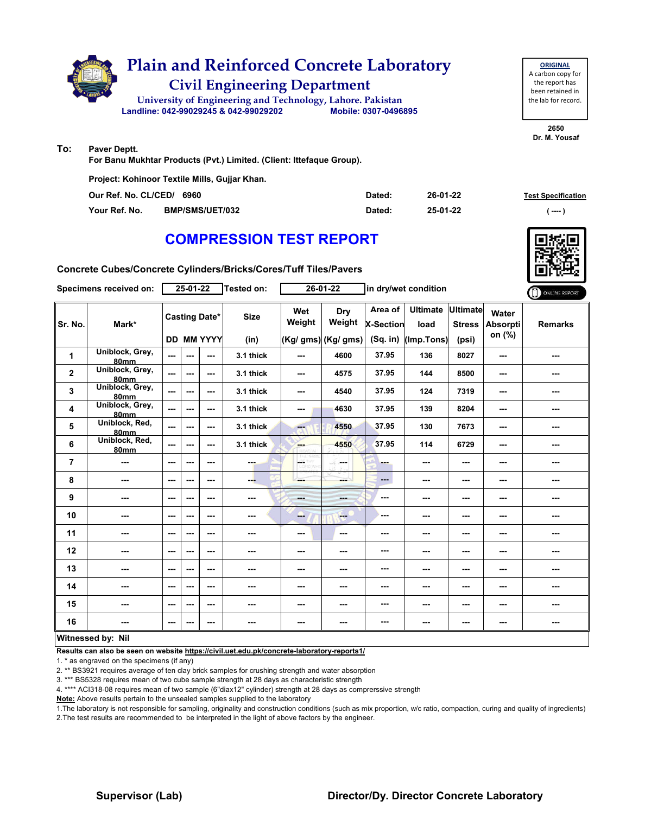

#### **To: Paver Deptt.**

**For Banu Mukhtar Products (Pvt.) Limited. (Client: Ittefaque Group).**

**Our Ref. No. CL/CED/ Dated: Test Specification 6960 Your Ref. No. BMP/SMS/UET/032 Dated: ( ---- ) Project: Kohinoor Textile Mills, Gujjar Khan. 26-01-22 25-01-22**

### **COMPRESSION TEST REPORT**

**Concrete Cubes/Concrete Cylinders/Bricks/Cores/Tuff Tiles/Pavers**

|                   | Specimens received on:  |                          | 25-01-22 |                          | Tested on:    |                                                      | 26-01-22                    | in dry/wet condition    |                                  |                          | ONLINE REPORT  |     |
|-------------------|-------------------------|--------------------------|----------|--------------------------|---------------|------------------------------------------------------|-----------------------------|-------------------------|----------------------------------|--------------------------|----------------|-----|
| Sr. No.           | Mark*                   | <b>Casting Date*</b>     |          | <b>Size</b>              | Wet<br>Weight | Dry<br>Weight                                        | Area of<br><b>X-Section</b> | <b>Ultimate</b><br>load | <b>Ultimate</b><br><b>Stress</b> | Water<br><b>Absorpti</b> | <b>Remarks</b> |     |
|                   |                         |                          |          | <b>DD MM YYYY</b>        | (in)          |                                                      | (Kg/ gms) (Kg/ gms)         | (Sq. in)                | (Imp.Tons)                       | (psi)                    | on (%)         |     |
| 1                 | Uniblock, Grey,<br>80mm | $\sim$                   | ---      | $- - -$                  | 3.1 thick     | ---                                                  | 4600                        | 37.95                   | 136                              | 8027                     | ---            | --- |
| $\mathbf{2}$      | Uniblock, Grey,<br>80mm | ---                      | ---      | $\qquad \qquad \cdots$   | 3.1 thick     | ---                                                  | 4575                        | 37.95                   | 144                              | 8500                     | ---            | --- |
| 3                 | Uniblock, Grey,<br>80mm | $\overline{a}$           | ---      | $- - -$                  | 3.1 thick     | ---                                                  | 4540                        | 37.95                   | 124                              | 7319                     | ---            | --- |
| 4                 | Uniblock, Grey,<br>80mm | $\overline{a}$           | ---      | $\sim$ $\sim$            | 3.1 thick     | ---                                                  | 4630                        | 37.95                   | 139                              | 8204                     | ---            | --- |
| 5                 | Uniblock, Red,<br>80mm  | $--$                     | ---      | $\overline{\phantom{a}}$ | 3.1 thick     | $-1$                                                 | 4550                        | 37.95                   | 130                              | 7673                     | ---            | --- |
| 6                 | Uniblock, Red,<br>80mm  | ---                      | ---      | $- - -$                  | 3.1 thick     | ---                                                  | 4550                        | 37.95                   | 114                              | 6729                     | ---            | --- |
| $\overline{7}$    | ---                     | $\sim$ $\sim$            | $--$     | $\sim$ $\sim$            | ---           | $\frac{\Delta E}{\Delta E}$<br>THÝ.<br><b>D.Wind</b> | ---                         | ---                     | ---                              | ---                      | ---            | --- |
| 8                 | ---                     | ---                      | ---      | ---                      | ---           | ---                                                  | man i                       | $\qquad \qquad \cdots$  | ---                              | ---                      |                | --- |
| 9                 | ---                     | $\overline{\phantom{a}}$ | ---      | $\sim$ $\sim$            | ---           | ---                                                  | ---                         | ---                     | ---                              | ---                      | ---            | --- |
| 10                | $\sim$                  | $\sim$                   | ---      | $\sim$ $\sim$            | $\sim$        | <b>List</b>                                          | <b>Free</b>                 | ---                     | ---                              | ---                      | ---            | --- |
| 11                | ---                     | $--$                     | ---      | $\sim$ $\sim$            | ---           | ---                                                  | $\cdots$                    | ---                     | ---                              | ---                      | ---            | --- |
| 12                | ---                     | ---                      | ---      | ---                      | ---           | ---                                                  | ---                         | ---                     | ---                              | ---                      | ---            | --- |
| 13                | ---                     | ---                      | ---      | ---                      | ---           | ---                                                  | ---                         | ---                     | ---                              | ---                      | ---            | --- |
| 14                | ---                     | ---                      | ---      | $\sim$ $\sim$            | $\sim$ $\sim$ | ---                                                  | ---                         | ---                     | ---                              | ---                      | ---            | --- |
| 15                |                         | $--$                     | ---      | $\overline{\phantom{a}}$ | $\sim$        | ---                                                  | ---                         | ---                     | ---                              | ---                      |                | --- |
| 16                | ---                     | ---                      | ---      | $\sim$                   | $\sim$        | ---                                                  | ---                         | ---                     | ---                              | ---                      | ---            | --- |
| Witnessed by: Nil |                         |                          |          |                          |               |                                                      |                             |                         |                                  |                          |                |     |

**Results can also be seen on website https://civil.uet.edu.pk/concrete-laboratory-reports1/**

1. \* as engraved on the specimens (if any)

2. \*\* BS3921 requires average of ten clay brick samples for crushing strength and water absorption

3. \*\*\* BS5328 requires mean of two cube sample strength at 28 days as characteristic strength

4. \*\*\*\* ACI318-08 requires mean of two sample (6"diax12" cylinder) strength at 28 days as comprerssive strength

**Note:** Above results pertain to the unsealed samples supplied to the laboratory

1.The laboratory is not responsible for sampling, originality and construction conditions (such as mix proportion, w/c ratio, compaction, curing and quality of ingredients) 2.The test results are recommended to be interpreted in the light of above factors by the engineer.

#### **Supervisor (Lab) Director/Dy. Director Concrete Laboratory**